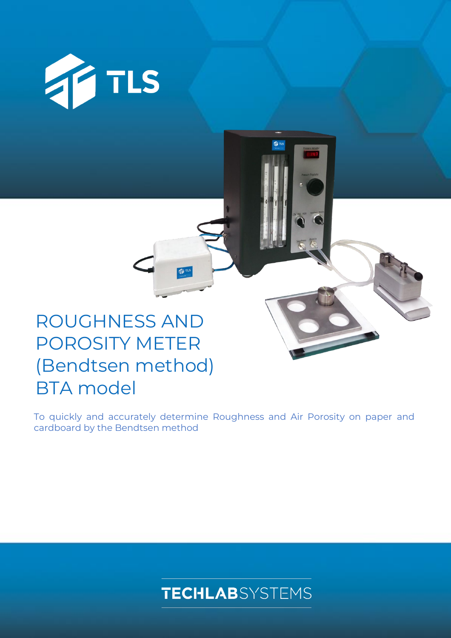

# ROUGHNESS AND POROSITY METER (Bendtsen method) BTA model

To quickly and accurately determine Roughness and Air Porosity on paper and cardboard by the Bendtsen method

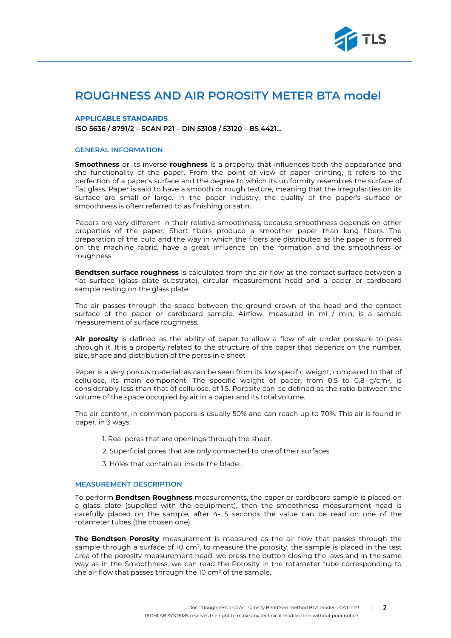

## **ROUGHNESS AND AIR POROSITY METER BTA model**

#### **APPLICABLE STANDARDS**

**ISO 5636 / 8791/2 – SCAN P21 – DIN 53108 / 53120 – BS 4421…**

#### **GENERAL INFORMATION**

**Smoothness** or its inverse **roughness** is a property that influences both the appearance and the functionality of the paper. From the point of view of paper printing, it refers to the perfection of a paper's surface and the degree to which its uniformity resembles the surface of flat glass. Paper is said to have a smooth or rough texture, meaning that the irregularities on its surface are small or large. In the paper industry, the quality of the paper's surface or smoothness is often referred to as finishing or satin.

Papers are very different in their relative smoothness, because smoothness depends on other properties of the paper. Short fibers produce a smoother paper than long fibers. The preparation of the pulp and the way in which the fibers are distributed as the paper is formed on the machine fabric, have a great influence on the formation and the smoothness or roughness.

**Bendtsen surface roughness** is calculated from the air flow at the contact surface between a flat surface (glass plate substrate), circular measurement head and a paper or cardboard sample resting on the glass plate.

The air passes through the space between the ground crown of the head and the contact surface of the paper or cardboard sample. Airflow, measured in ml / min, is a sample measurement of surface roughness.

**Air porosity** is defined as the ability of paper to allow a flow of air under pressure to pass through it. It is a property related to the structure of the paper that depends on the number, size, shape and distribution of the pores in a sheet

Paper is a very porous material, as can be seen from its low specific weight, compared to that of cellulose, its main component. The specific weight of paper, from 0.5 to 0.8  $g/cm^3$ , is considerably less than that of cellulose, of 1.5. Porosity can be defined as the ratio between the volume of the space occupied by air in a paper and its total volume.

The air content, in common papers is usually 50% and can reach up to 70%. This air is found in paper, in 3 ways:

- 1. Real pores that are openings through the sheet,
- 2. Superficial pores that are only connected to one of their surfaces
- 3. Holes that contain air inside the blade..

### **MEASUREMENT DESCRIPTION**

To perform **Bendtsen Roughness** measurements, the paper or cardboard sample is placed on a glass plate (supplied with the equipment), then the smoothness measurement head is carefully placed on the sample, after 4- 5 seconds the value can be read on one of the rotameter tubes (the chosen one)

**The Bendtsen Porosity** measurement is measured as the air flow that passes through the sample through a surface of 10 cm<sup>2</sup>, to measure the porosity, the sample is placed in the test area of the porosity measurement head, we press the button closing the jaws and in the same way as in the Smoothness, we can read the Porosity in the rotameter tube corresponding to the air flow that passes through the  $10 \text{ cm}^2$  of the sample.